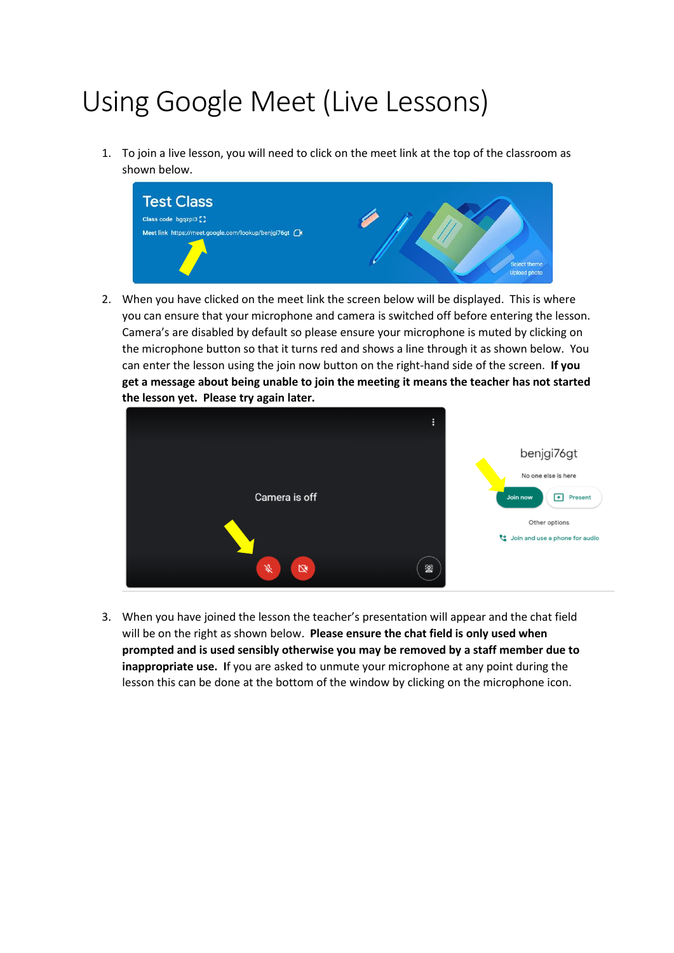## Using Google Meet (Live Lessons)

1. To join a live lesson, you will need to click on the meet link at the top of the classroom as shown below.



2. When you have clicked on the meet link the screen below will be displayed. This is where you can ensure that your microphone and camera is switched off before entering the lesson. Camera's are disabled by default so please ensure your microphone is muted by clicking on the microphone button so that it turns red and shows a line through it as shown below. You can enter the lesson using the join now button on the right-hand side of the screen. **If you get a message about being unable to join the meeting it means the teacher has not started the lesson yet. Please try again later.**



3. When you have joined the lesson the teacher's presentation will appear and the chat field will be on the right as shown below. **Please ensure the chat field is only used when prompted and is used sensibly otherwise you may be removed by a staff member due to inappropriate use. I**f you are asked to unmute your microphone at any point during the lesson this can be done at the bottom of the window by clicking on the microphone icon.